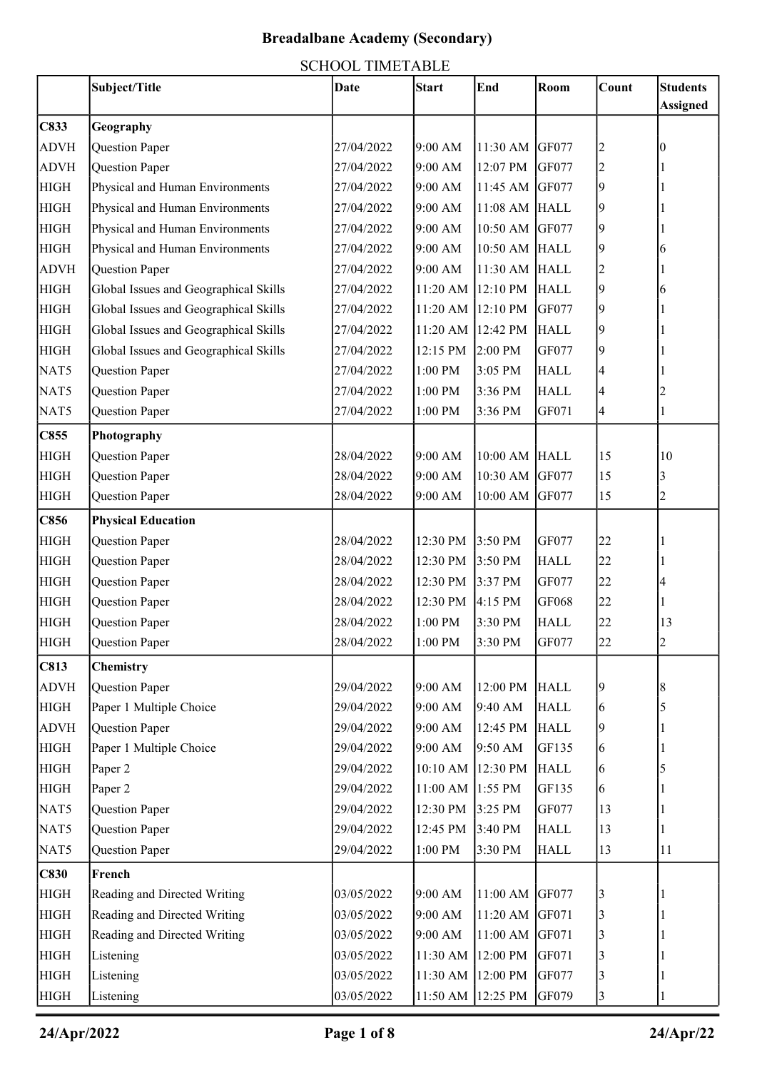|             | Subject/Title                         | <b>Date</b> | <b>Start</b>      | End            | Room        | Count          | <b>Students</b> |
|-------------|---------------------------------------|-------------|-------------------|----------------|-------------|----------------|-----------------|
|             |                                       |             |                   |                |             |                | <b>Assigned</b> |
| C833        | Geography                             |             |                   |                |             |                |                 |
| <b>ADVH</b> | Question Paper                        | 27/04/2022  | 9:00 AM           | 11:30 AM GF077 |             | 2              |                 |
| <b>ADVH</b> | Question Paper                        | 27/04/2022  | 9:00 AM           | 12:07 PM       | GF077       | $\overline{c}$ |                 |
| <b>HIGH</b> | Physical and Human Environments       | 27/04/2022  | 9:00 AM           | 11:45 AM GF077 |             | 9              |                 |
| <b>HIGH</b> | Physical and Human Environments       | 27/04/2022  | 9:00 AM           | 11:08 AM HALL  |             | 9              |                 |
| <b>HIGH</b> | Physical and Human Environments       | 27/04/2022  | 9:00 AM           | 10:50 AM GF077 |             | 9              |                 |
| <b>HIGH</b> | Physical and Human Environments       | 27/04/2022  | 9:00 AM           | 10:50 AM HALL  |             | 9              | h               |
| <b>ADVH</b> | Question Paper                        | 27/04/2022  | 9:00 AM           | 11:30 AM HALL  |             |                |                 |
| <b>HIGH</b> | Global Issues and Geographical Skills | 27/04/2022  | 11:20 AM          | 12:10 PM HALL  |             | 9              |                 |
| <b>HIGH</b> | Global Issues and Geographical Skills | 27/04/2022  | 11:20 AM 12:10 PM |                | GF077       | 9              |                 |
| <b>HIGH</b> | Global Issues and Geographical Skills | 27/04/2022  | 11:20 AM 12:42 PM |                | <b>HALL</b> | 9              |                 |
| <b>HIGH</b> | Global Issues and Geographical Skills | 27/04/2022  | 12:15 PM          | 2:00 PM        | GF077       | 9              |                 |
| NAT5        | Question Paper                        | 27/04/2022  | 1:00 PM           | 3:05 PM        | <b>HALL</b> | 4              |                 |
| NAT5        | Question Paper                        | 27/04/2022  | 1:00 PM           | 3:36 PM        | <b>HALL</b> | 4              |                 |
| NAT5        | Question Paper                        | 27/04/2022  | 1:00 PM           | 3:36 PM        | GF071       | 4              |                 |
| C855        | Photography                           |             |                   |                |             |                |                 |
| <b>HIGH</b> | Question Paper                        | 28/04/2022  | 9:00 AM           | 10:00 AM HALL  |             | 15             | 10              |
| <b>HIGH</b> | Question Paper                        | 28/04/2022  | 9:00 AM           | 10:30 AM GF077 |             | 15             | 3               |
| <b>HIGH</b> | Question Paper                        | 28/04/2022  | 9:00 AM           | 10:00 AM       | GF077       | 15             | 2               |
| C856        | <b>Physical Education</b>             |             |                   |                |             |                |                 |
| <b>HIGH</b> | Question Paper                        | 28/04/2022  | 12:30 PM          | 3:50 PM        | GF077       | 22             |                 |
| <b>HIGH</b> | Question Paper                        | 28/04/2022  | 12:30 PM          | 3:50 PM        | <b>HALL</b> | 22             |                 |
| <b>HIGH</b> | Question Paper                        | 28/04/2022  | 12:30 PM          | 3:37 PM        | GF077       | 22             |                 |
| <b>HIGH</b> | Question Paper                        | 28/04/2022  | 12:30 PM          | 4:15 PM        | GF068       | 22             |                 |
| <b>HIGH</b> | Question Paper                        | 28/04/2022  | $1:00\;PM$        | 3:30 PM        | <b>HALL</b> | 22             | 13              |
| <b>HIGH</b> | Question Paper                        | 28/04/2022  | $1:00$ PM         | 3:30 PM        | GF077       | 22             | $\angle$        |
| C813        | Chemistry                             |             |                   |                |             |                |                 |
| <b>ADVH</b> | Question Paper                        | 29/04/2022  | 9:00 AM           | 12:00 PM       | <b>HALL</b> | 9              | 8               |
| <b>HIGH</b> | Paper 1 Multiple Choice               | 29/04/2022  | 9:00 AM           | 9:40 AM        | <b>HALL</b> | 6              | 5               |
| <b>ADVH</b> | Question Paper                        | 29/04/2022  | 9:00 AM           | 12:45 PM       | <b>HALL</b> | 9              |                 |
| <b>HIGH</b> | Paper 1 Multiple Choice               | 29/04/2022  | 9:00 AM           | 9:50 AM        | GF135       | 6              |                 |
| <b>HIGH</b> | Paper 2                               | 29/04/2022  | 10:10 AM          | 12:30 PM       | <b>HALL</b> | 6              | 5               |
| <b>HIGH</b> | Paper 2                               | 29/04/2022  | 11:00 AM 1:55 PM  |                | GF135       | 6              |                 |
| NAT5        | Question Paper                        | 29/04/2022  | 12:30 PM          | 3:25 PM        | GF077       | 13             |                 |
| NAT5        | Question Paper                        | 29/04/2022  | 12:45 PM          | 3:40 PM        | <b>HALL</b> | 13             |                 |
| NAT5        | Question Paper                        | 29/04/2022  | $1:00$ PM $\,$    | 3:30 PM        | <b>HALL</b> | 13             | 11              |
| <b>C830</b> | French                                |             |                   |                |             |                |                 |
| <b>HIGH</b> | Reading and Directed Writing          | 03/05/2022  | 9:00 AM           | 11:00 AM GF077 |             | 3              |                 |
| <b>HIGH</b> | Reading and Directed Writing          | 03/05/2022  | 9:00 AM           | 11:20 AM GF071 |             | 3              |                 |
| <b>HIGH</b> | Reading and Directed Writing          | 03/05/2022  | 9:00 AM           | 11:00 AM       | GF071       | 3              |                 |
| <b>HIGH</b> | Listening                             | 03/05/2022  | 11:30 AM          | 12:00 PM       | GF071       | 3              |                 |
| <b>HIGH</b> | Listening                             | 03/05/2022  | 11:30 AM          | 12:00 PM       | GF077       | 3              |                 |
| <b>HIGH</b> | Listening                             | 03/05/2022  | 11:50 AM          | 12:25 PM       | GF079       | 3              |                 |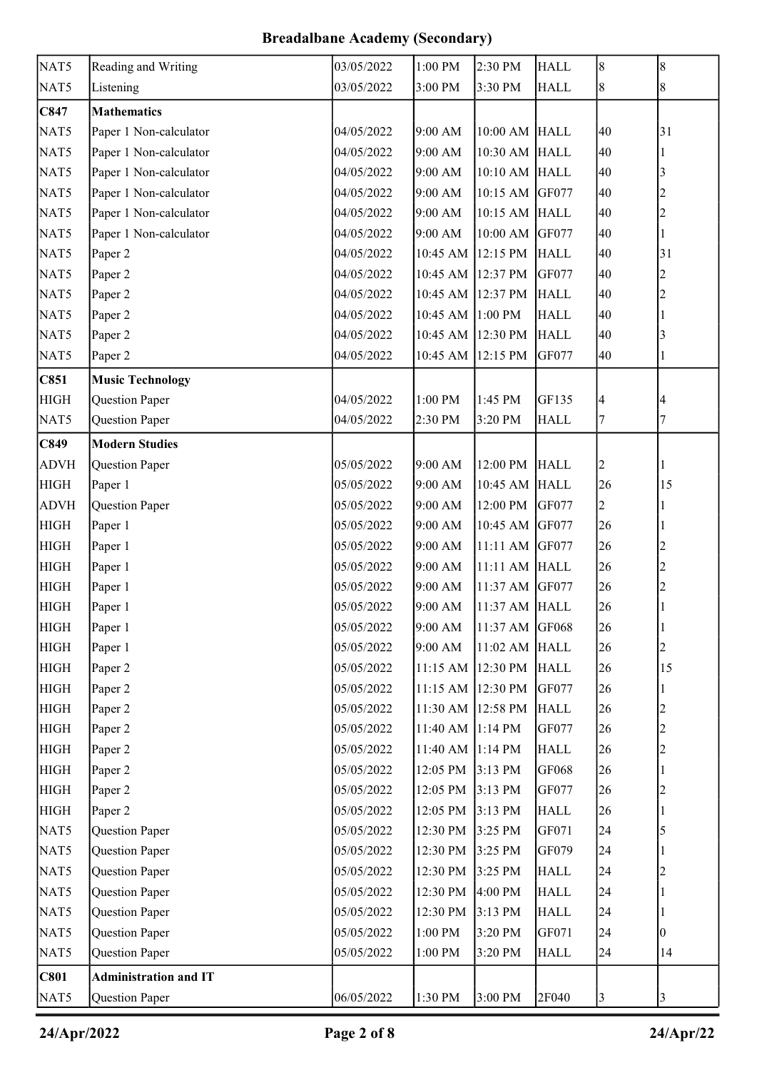| NAT5<br>Reading and Writing<br>03/05/2022<br>2:30 PM<br>1:00 PM<br><b>HALL</b>    | 8<br>8                        |
|-----------------------------------------------------------------------------------|-------------------------------|
| NAT5<br>Listening<br>3:00 PM<br>3:30 PM<br>03/05/2022<br><b>HALL</b>              | 8<br>$\,$ 8 $\,$              |
| C847<br><b>Mathematics</b>                                                        |                               |
| NAT5<br>Paper 1 Non-calculator<br>9:00 AM<br>10:00 AM HALL<br>04/05/2022          | 40<br>31                      |
| NAT5<br>Paper 1 Non-calculator<br>04/05/2022<br>9:00 AM<br>10:30 AM HALL          | 40                            |
| NAT5<br>Paper 1 Non-calculator<br>9:00 AM<br>10:10 AM HALL<br>04/05/2022          | 40<br>3                       |
| Paper 1 Non-calculator<br>NAT5<br>04/05/2022<br>9:00 AM<br>10:15 AM GF077         | 40                            |
| NAT5<br>Paper 1 Non-calculator<br>10:15 AM HALL<br>04/05/2022<br>9:00 AM          | 40                            |
| NAT5<br>Paper 1 Non-calculator<br>9:00 AM<br>10:00 AM GF077<br>04/05/2022         | 40                            |
| NAT5<br>Paper 2<br>04/05/2022<br>10:45 AM 12:15 PM<br><b>HALL</b>                 | 40<br>31                      |
| NAT5<br>Paper 2<br>04/05/2022<br>10:45 AM 12:37 PM<br>GF077                       | 40<br>2                       |
| NAT5<br>10:45 AM 12:37 PM<br>Paper 2<br>04/05/2022<br><b>HALL</b>                 | 40<br>2                       |
| NAT5<br>04/05/2022<br>10:45 AM 1:00 PM<br>Paper 2<br><b>HALL</b>                  | 40                            |
| Paper 2<br>NAT5<br>04/05/2022<br>10:45 AM 12:30 PM<br><b>HALL</b>                 | 40<br>3                       |
| NAT5<br>04/05/2022<br>10:45 AM 12:15 PM<br>GF077<br>Paper 2                       | 40                            |
| C851<br><b>Music Technology</b>                                                   |                               |
| <b>HIGH</b><br>Question Paper<br>04/05/2022<br>1:00 PM<br>1:45 PM<br>GF135        | $\overline{\mathcal{A}}$<br>4 |
| NAT5<br>Question Paper<br>04/05/2022<br>2:30 PM<br>3:20 PM<br><b>HALL</b>         | 7<br>7                        |
| C849<br><b>Modern Studies</b>                                                     |                               |
| <b>ADVH</b><br>9:00 AM<br>12:00 PM<br>Question Paper<br>05/05/2022<br><b>HALL</b> | 2                             |
| <b>HIGH</b><br>Paper 1<br>10:45 AM HALL<br>05/05/2022<br>9:00 AM                  | 26<br>15                      |
| <b>ADVH</b><br>Question Paper<br>9:00 AM<br>12:00 PM<br>GF077<br>05/05/2022       | 2                             |
| <b>HIGH</b><br>Paper 1<br>05/05/2022<br>9:00 AM<br>10:45 AM GF077                 | 26                            |
| <b>HIGH</b><br>11:11 AM GF077<br>Paper 1<br>05/05/2022<br>9:00 AM                 | 26                            |
| <b>HIGH</b><br>Paper 1<br>9:00 AM<br>11:11 AM HALL<br>05/05/2022                  | 26                            |
| <b>HIGH</b><br>Paper 1<br>05/05/2022<br>9:00 AM<br>11:37 AM GF077                 | 26<br>2                       |
| <b>HIGH</b><br>Paper 1<br>05/05/2022<br>9:00 AM<br>11:37 AM HALL                  | 26                            |
| <b>HIGH</b><br>Paper 1<br>05/05/2022<br>9:00 AM<br>11:37 AM GF068                 | 26                            |
| <b>HIGH</b><br>Paper 1<br>05/05/2022<br>9:00 AM<br>11:02 AM HALL                  | 26                            |
| <b>HIGH</b><br>11:15 AM 12:30 PM<br>Paper 2<br>05/05/2022<br><b>HALL</b>          | 26<br>15                      |
| <b>HIGH</b><br>11:15 AM 12:30 PM<br>Paper 2<br>05/05/2022<br>GF077                | 26                            |
| <b>HIGH</b><br>Paper 2<br>11:30 AM 12:58 PM<br>05/05/2022<br><b>HALL</b>          | 26                            |
| <b>HIGH</b><br>Paper 2<br>05/05/2022<br>11:40 AM 1:14 PM<br>GF077                 | 26<br>$\overline{c}$          |
| <b>HIGH</b><br>11:40 AM 1:14 PM<br>Paper 2<br>05/05/2022<br><b>HALL</b>           | 26                            |
| <b>HIGH</b><br>Paper 2<br>12:05 PM<br>3:13 PM<br>GF068<br>05/05/2022              | 26                            |
| <b>HIGH</b><br>Paper 2<br>05/05/2022<br>12:05 PM<br>3:13 PM<br>GF077              | 26                            |
| <b>HIGH</b><br>12:05 PM<br>Paper 2<br>05/05/2022<br>3:13 PM<br><b>HALL</b>        | 26                            |
| NAT5<br>Question Paper<br>12:30 PM<br>3:25 PM<br>GF071<br>05/05/2022              | 24<br>5                       |
| NAT5<br>Question Paper<br>05/05/2022<br>12:30 PM<br>3:25 PM<br>GF079              | 24                            |
| NAT5<br>Question Paper<br>12:30 PM<br>05/05/2022<br>3:25 PM<br><b>HALL</b>        | 24                            |
| NAT5<br>12:30 PM<br>4:00 PM<br>Question Paper<br>05/05/2022<br><b>HALL</b>        | 24                            |
| NAT5<br>Question Paper<br>05/05/2022<br>12:30 PM<br>3:13 PM<br><b>HALL</b>        | 24                            |
| NAT5<br>Question Paper<br>$1:00$ $\mathrm{PM}$<br>3:20 PM<br>05/05/2022<br>GF071  | 24<br>0                       |
| NAT5<br>Question Paper<br>05/05/2022<br>1:00 PM<br>3:20 PM<br><b>HALL</b>         | 24<br>14                      |
| <b>C801</b><br><b>Administration and IT</b>                                       |                               |
| 2F040<br>NAT5<br>Question Paper<br>06/05/2022<br>1:30 PM<br>3:00 PM               | $\mathfrak{Z}$<br>3           |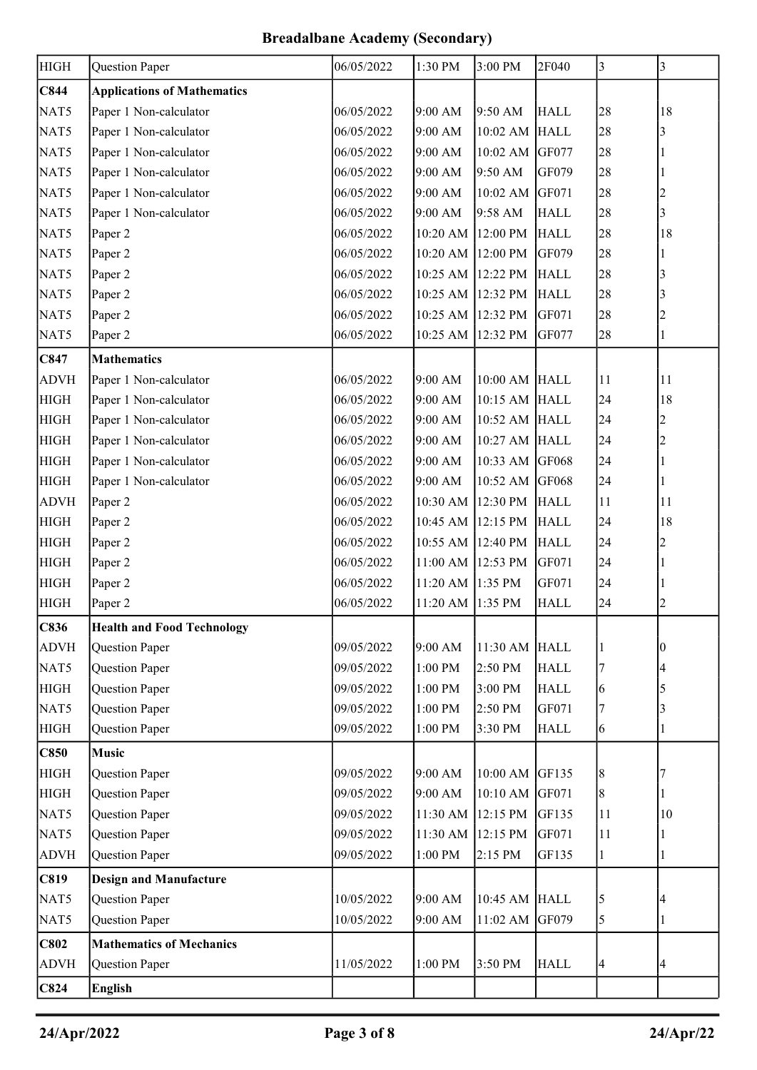| <b>HIGH</b> | Question Paper                     | 06/05/2022               | 1:30 PM              | 3:00 PM        | 2F040       | 3              | 3              |
|-------------|------------------------------------|--------------------------|----------------------|----------------|-------------|----------------|----------------|
|             |                                    |                          |                      |                |             |                |                |
| C844        | <b>Applications of Mathematics</b> |                          |                      |                |             |                | 18             |
| NAT5        | Paper 1 Non-calculator             | 06/05/2022<br>06/05/2022 | 9:00 AM<br>9:00 AM   | 9:50 AM        | <b>HALL</b> | 28             |                |
| NAT5        | Paper 1 Non-calculator             |                          |                      | 10:02 AM HALL  |             | 28             | 3              |
| NAT5        | Paper 1 Non-calculator             | 06/05/2022               | 9:00 AM              | 10:02 AM GF077 |             | 28             |                |
| NAT5        | Paper 1 Non-calculator             | 06/05/2022               | 9:00 AM              | 9:50 AM        | GF079       | 28             |                |
| NAT5        | Paper 1 Non-calculator             | 06/05/2022               | 9:00 AM              | 10:02 AM GF071 |             | 28             | $\overline{2}$ |
| NAT5        | Paper 1 Non-calculator             | 06/05/2022               | 9:00 AM              | 9:58 AM        | <b>HALL</b> | 28             | 3              |
| NAT5        | Paper 2                            | 06/05/2022               | 10:20 AM 12:00 PM    |                | <b>HALL</b> | 28             | 18             |
| NAT5        | Paper 2                            | 06/05/2022               | 10:20 AM 12:00 PM    |                | GF079       | 28             |                |
| NAT5        | Paper 2                            | 06/05/2022               | 10:25 AM 12:22 PM    |                | <b>HALL</b> | 28             | 3              |
| NAT5        | Paper 2                            | 06/05/2022               | 10:25 AM 12:32 PM    |                | <b>HALL</b> | 28             | 3              |
| NAT5        | Paper 2                            | 06/05/2022               | 10:25 AM 12:32 PM    |                | GF071       | 28             | 2              |
| NAT5        | Paper 2                            | 06/05/2022               | 10:25 AM 12:32 PM    |                | GF077       | 28             | 1              |
| C847        | <b>Mathematics</b>                 |                          |                      |                |             |                |                |
| <b>ADVH</b> | Paper 1 Non-calculator             | 06/05/2022               | 9:00 AM              | 10:00 AM HALL  |             | 11             | 11             |
| <b>HIGH</b> | Paper 1 Non-calculator             | 06/05/2022               | 9:00 AM              | 10:15 AM HALL  |             | 24             | 18             |
| <b>HIGH</b> | Paper 1 Non-calculator             | 06/05/2022               | 9:00 AM              | 10:52 AM HALL  |             | 24             | $\overline{2}$ |
| <b>HIGH</b> | Paper 1 Non-calculator             | 06/05/2022               | 9:00 AM              | 10:27 AM HALL  |             | 24             | $\overline{c}$ |
| <b>HIGH</b> | Paper 1 Non-calculator             | 06/05/2022               | 9:00 AM              | 10:33 AM GF068 |             | 24             | 1              |
| <b>HIGH</b> | Paper 1 Non-calculator             | 06/05/2022               | 9:00 AM              | 10:52 AM GF068 |             | 24             |                |
| <b>ADVH</b> | Paper 2                            | 06/05/2022               | 10:30 AM 12:30 PM    |                | <b>HALL</b> | 11             | 11             |
| <b>HIGH</b> | Paper 2                            | 06/05/2022               | 10:45 AM 12:15 PM    |                | <b>HALL</b> | 24             | 18             |
| <b>HIGH</b> | Paper 2                            | 06/05/2022               | 10:55 AM 12:40 PM    |                | <b>HALL</b> | 24             | $\overline{2}$ |
| <b>HIGH</b> | Paper 2                            | 06/05/2022               | 11:00 AM 12:53 PM    |                | GF071       | 24             |                |
| <b>HIGH</b> | Paper 2                            | 06/05/2022               | 11:20 AM 1:35 PM     |                | GF071       | 24             | 1              |
| <b>HIGH</b> | Paper 2                            | 06/05/2022               | 11:20 AM 1:35 PM     |                | <b>HALL</b> | 24             | $\overline{2}$ |
| C836        | <b>Health and Food Technology</b>  |                          |                      |                |             |                |                |
| <b>ADVH</b> | Question Paper                     | 09/05/2022               | 9:00 AM              | 11:30 AM       | <b>HALL</b> |                | 0              |
| NAT5        | Question Paper                     | 09/05/2022               | $1:00$ $\mathrm{PM}$ | 2:50 PM        | <b>HALL</b> | 7              | 4              |
| <b>HIGH</b> | Question Paper                     | 09/05/2022               | 1:00 PM              | 3:00 PM        | <b>HALL</b> | 6              |                |
| NAT5        | Question Paper                     | 09/05/2022               | 1:00 PM              | 2:50 PM        | GF071       | 7              | 3              |
| <b>HIGH</b> | Question Paper                     | 09/05/2022               | 1:00 PM              | 3:30 PM        | <b>HALL</b> | 6              | 1              |
| C850        | <b>Music</b>                       |                          |                      |                |             |                |                |
| <b>HIGH</b> | Question Paper                     | 09/05/2022               | 9:00 AM              | 10:00 AM       | GF135       | $\,$ $\,$      |                |
| <b>HIGH</b> | Question Paper                     | 09/05/2022               | 9:00 AM              | 10:10 AM       | GF071       | $8\,$          |                |
| NAT5        | Question Paper                     | 09/05/2022               | 11:30 AM 12:15 PM    |                | GF135       | 11             | 10             |
| NAT5        | Question Paper                     | 09/05/2022               | 11:30 AM 12:15 PM    |                | GF071       | 11             |                |
| <b>ADVH</b> | Question Paper                     | 09/05/2022               | $1:00$ $\mathrm{PM}$ | 2:15 PM        | GF135       | $\mathbf{1}$   | 1              |
| C819        | <b>Design and Manufacture</b>      |                          |                      |                |             |                |                |
| NAT5        | Question Paper                     | 10/05/2022               | 9:00 AM              | 10:45 AM       | <b>HALL</b> | 5              | 4              |
| NAT5        | Question Paper                     | 10/05/2022               | 9:00 AM              | 11:02 AM       | GF079       | 5              |                |
| C802        | <b>Mathematics of Mechanics</b>    |                          |                      |                |             |                |                |
| <b>ADVH</b> | Question Paper                     | 11/05/2022               | $1:00$ $\mathrm{PM}$ | 3:50 PM        | <b>HALL</b> | $\overline{4}$ | $\overline{4}$ |
|             |                                    |                          |                      |                |             |                |                |
| C824        | <b>English</b>                     |                          |                      |                |             |                |                |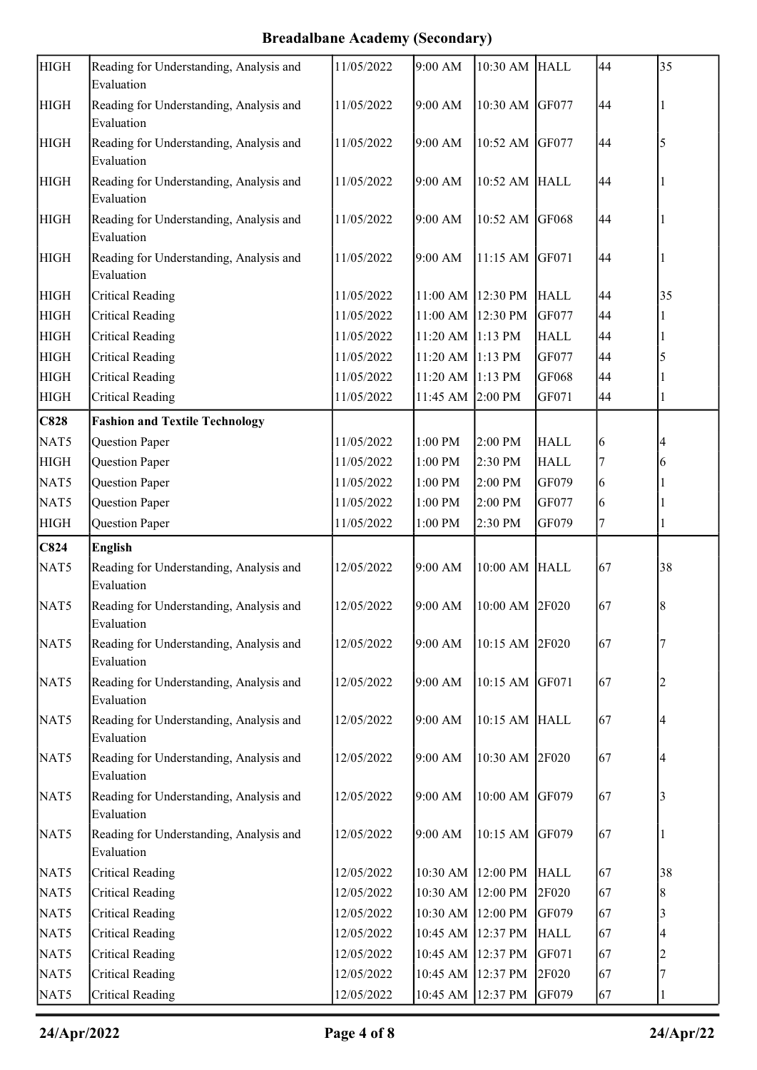| <b>HIGH</b> | Reading for Understanding, Analysis and<br>Evaluation | 11/05/2022 | 9:00 AM           | 10:30 AM HALL     |             | 44 | 35 |
|-------------|-------------------------------------------------------|------------|-------------------|-------------------|-------------|----|----|
| <b>HIGH</b> | Reading for Understanding, Analysis and<br>Evaluation | 11/05/2022 | 9:00 AM           | 10:30 AM GF077    |             | 44 |    |
| <b>HIGH</b> | Reading for Understanding, Analysis and<br>Evaluation | 11/05/2022 | 9:00 AM           | 10:52 AM GF077    |             | 44 | 5  |
| <b>HIGH</b> | Reading for Understanding, Analysis and<br>Evaluation | 11/05/2022 | 9:00 AM           | 10:52 AM HALL     |             | 44 |    |
| <b>HIGH</b> | Reading for Understanding, Analysis and<br>Evaluation | 11/05/2022 | 9:00 AM           | 10:52 AM GF068    |             | 44 |    |
| <b>HIGH</b> | Reading for Understanding, Analysis and<br>Evaluation | 11/05/2022 | 9:00 AM           | 11:15 AM GF071    |             | 44 |    |
| <b>HIGH</b> | <b>Critical Reading</b>                               | 11/05/2022 | 11:00 AM 12:30 PM |                   | <b>HALL</b> | 44 | 35 |
| <b>HIGH</b> | <b>Critical Reading</b>                               | 11/05/2022 | 11:00 AM 12:30 PM |                   | GF077       | 44 |    |
| <b>HIGH</b> | <b>Critical Reading</b>                               | 11/05/2022 | 11:20 AM 1:13 PM  |                   | <b>HALL</b> | 44 |    |
| <b>HIGH</b> | <b>Critical Reading</b>                               | 11/05/2022 | 11:20 AM 1:13 PM  |                   | GF077       | 44 |    |
| <b>HIGH</b> | <b>Critical Reading</b>                               | 11/05/2022 | 11:20 AM 1:13 PM  |                   | GF068       | 44 |    |
| <b>HIGH</b> | <b>Critical Reading</b>                               | 11/05/2022 | 11:45 AM 2:00 PM  |                   | GF071       | 44 |    |
| <b>C828</b> | <b>Fashion and Textile Technology</b>                 |            |                   |                   |             |    |    |
| NAT5        | Question Paper                                        | 11/05/2022 | 1:00 PM           | 2:00 PM           | <b>HALL</b> | 6  |    |
| <b>HIGH</b> | Question Paper                                        | 11/05/2022 | 1:00 PM           | 2:30 PM           | <b>HALL</b> |    | 6  |
| NAT5        | Question Paper                                        | 11/05/2022 | 1:00 PM           | 2:00 PM           | GF079       | 6  |    |
| NAT5        | Question Paper                                        | 11/05/2022 | 1:00 PM           | 2:00 PM           | GF077       | 6  |    |
| <b>HIGH</b> | Question Paper                                        | 11/05/2022 | 1:00 PM           | 2:30 PM           | GF079       | 7  |    |
| C824        | <b>English</b>                                        |            |                   |                   |             |    |    |
| NAT5        | Reading for Understanding, Analysis and<br>Evaluation | 12/05/2022 | 9:00 AM           | 10:00 AM HALL     |             | 67 | 38 |
| NAT5        | Reading for Understanding, Analysis and<br>Evaluation | 12/05/2022 | 9:00 AM           | 10:00 AM 2F020    |             | 67 | 8  |
| NAT5        | Reading for Understanding, Analysis and<br>Evaluation | 12/05/2022 | 9:00 AM           | 10:15 AM 2F020    |             | 67 |    |
| NAT5        | Reading for Understanding, Analysis and<br>Evaluation | 12/05/2022 | 9:00 AM           | 10:15 AM GF071    |             | 67 |    |
| NAT5        | Reading for Understanding, Analysis and<br>Evaluation | 12/05/2022 | 9:00 AM           | 10:15 AM HALL     |             | 67 |    |
| NAT5        | Reading for Understanding, Analysis and<br>Evaluation | 12/05/2022 | 9:00 AM           | 10:30 AM 2F020    |             | 67 |    |
| NAT5        | Reading for Understanding, Analysis and<br>Evaluation | 12/05/2022 | 9:00 AM           | 10:00 AM GF079    |             | 67 |    |
| NAT5        | Reading for Understanding, Analysis and<br>Evaluation | 12/05/2022 | 9:00 AM           | 10:15 AM GF079    |             | 67 |    |
| NAT5        | <b>Critical Reading</b>                               | 12/05/2022 |                   | 10:30 AM 12:00 PM | <b>HALL</b> | 67 | 38 |
| NAT5        | <b>Critical Reading</b>                               | 12/05/2022 |                   | 10:30 AM 12:00 PM | 2F020       | 67 | 8  |
| NAT5        | <b>Critical Reading</b>                               | 12/05/2022 | 10:30 AM 12:00 PM |                   | GF079       | 67 | 3  |
| NAT5        | <b>Critical Reading</b>                               | 12/05/2022 |                   | 10:45 AM 12:37 PM | <b>HALL</b> | 67 |    |
| NAT5        | <b>Critical Reading</b>                               | 12/05/2022 |                   | 10:45 AM 12:37 PM | GF071       | 67 |    |
| NAT5        |                                                       |            |                   |                   |             |    |    |
|             | <b>Critical Reading</b>                               | 12/05/2022 | 10:45 AM 12:37 PM |                   | 2F020       | 67 |    |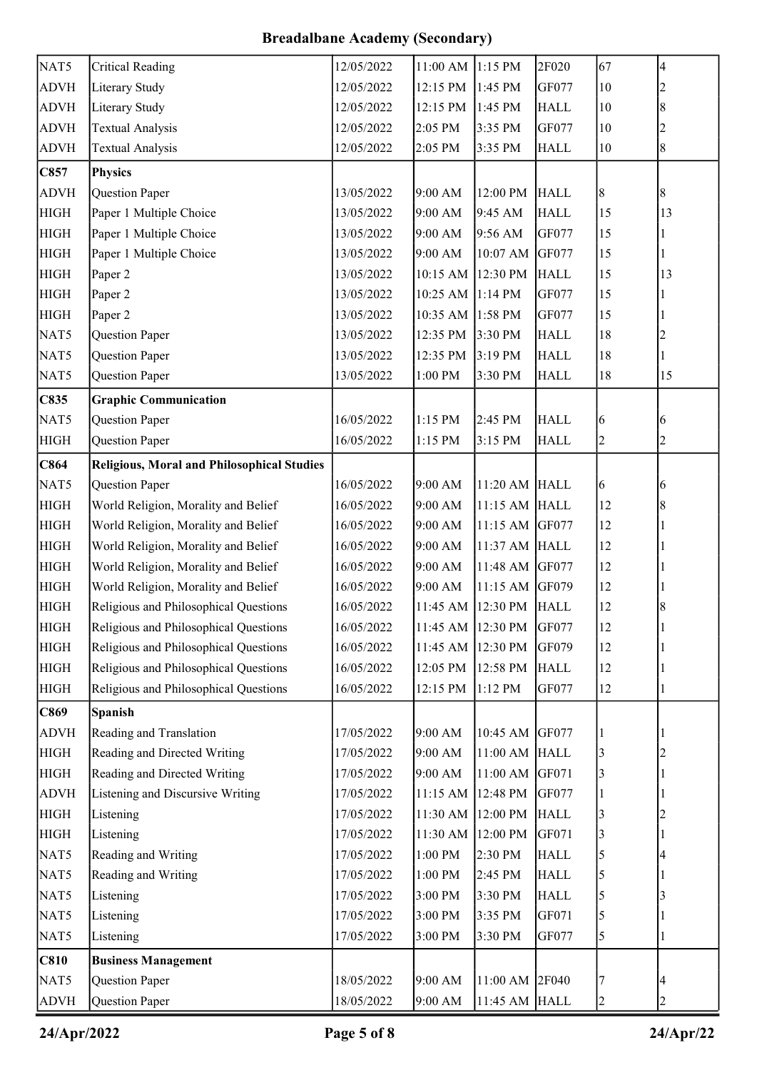| NAT5        | <b>Critical Reading</b>                           | 12/05/2022 | 11:00 AM 1:15 PM     |                   | 2F020       | 67                      | 4              |
|-------------|---------------------------------------------------|------------|----------------------|-------------------|-------------|-------------------------|----------------|
| <b>ADVH</b> | Literary Study                                    | 12/05/2022 | 12:15 PM             | 1:45 PM           | GF077       | $10\,$                  | 2              |
| <b>ADVH</b> | Literary Study                                    | 12/05/2022 | 12:15 PM             | 1:45 PM           | <b>HALL</b> | $10\,$                  | 8              |
| <b>ADVH</b> | <b>Textual Analysis</b>                           | 12/05/2022 | 2:05 PM              | 3:35 PM           | GF077       | 10                      | 2              |
| <b>ADVH</b> | <b>Textual Analysis</b>                           | 12/05/2022 | 2:05 PM              | 3:35 PM           | <b>HALL</b> | $10\,$                  | $\,8\,$        |
| C857        | <b>Physics</b>                                    |            |                      |                   |             |                         |                |
| <b>ADVH</b> | <b>Question Paper</b>                             | 13/05/2022 | 9:00 AM              | 12:00 PM          | <b>HALL</b> | 8                       | 8              |
| <b>HIGH</b> | Paper 1 Multiple Choice                           | 13/05/2022 | 9:00 AM              | 9:45 AM           | <b>HALL</b> | 15                      | 13             |
| <b>HIGH</b> | Paper 1 Multiple Choice                           | 13/05/2022 | 9:00 AM              | 9:56 AM           | GF077       | 15                      |                |
| <b>HIGH</b> | Paper 1 Multiple Choice                           | 13/05/2022 | 9:00 AM              | 10:07 AM GF077    |             | 15                      |                |
| <b>HIGH</b> | Paper 2                                           | 13/05/2022 | 10:15 AM 12:30 PM    |                   | <b>HALL</b> | 15                      | 13             |
| <b>HIGH</b> | Paper 2                                           | 13/05/2022 | 10:25 AM 1:14 PM     |                   | GF077       | 15                      |                |
| <b>HIGH</b> | Paper 2                                           | 13/05/2022 | 10:35 AM 1:58 PM     |                   | GF077       | 15                      |                |
| NAT5        | Question Paper                                    | 13/05/2022 | 12:35 PM             | 3:30 PM           | <b>HALL</b> | 18                      | 2              |
| NAT5        | Question Paper                                    | 13/05/2022 | 12:35 PM             | 3:19 PM           | <b>HALL</b> | 18                      |                |
| NAT5        | Question Paper                                    | 13/05/2022 | $1:00$ $\mathrm{PM}$ | 3:30 PM           | <b>HALL</b> | 18                      | 15             |
| C835        | <b>Graphic Communication</b>                      |            |                      |                   |             |                         |                |
| NAT5        | Question Paper                                    | 16/05/2022 | 1:15 PM              | 2:45 PM           | <b>HALL</b> | 6                       | 6              |
| <b>HIGH</b> | Question Paper                                    | 16/05/2022 | 1:15 PM              | 3:15 PM           | <b>HALL</b> | $\overline{c}$          | $\overline{c}$ |
| C864        | <b>Religious, Moral and Philosophical Studies</b> |            |                      |                   |             |                         |                |
| NAT5        | Question Paper                                    | 16/05/2022 | 9:00 AM              | 11:20 AM HALL     |             | 6                       | 6              |
| <b>HIGH</b> | World Religion, Morality and Belief               | 16/05/2022 | 9:00 AM              | 11:15 AM HALL     |             | 12                      | 8              |
| <b>HIGH</b> | World Religion, Morality and Belief               | 16/05/2022 | 9:00 AM              | 11:15 AM GF077    |             | 12                      |                |
| <b>HIGH</b> | World Religion, Morality and Belief               | 16/05/2022 | 9:00 AM              | 11:37 AM HALL     |             | 12                      |                |
| <b>HIGH</b> | World Religion, Morality and Belief               | 16/05/2022 | 9:00 AM              | 11:48 AM GF077    |             | 12                      |                |
| <b>HIGH</b> | World Religion, Morality and Belief               | 16/05/2022 | 9:00 AM              | 11:15 AM          | GF079       | 12                      |                |
| <b>HIGH</b> | Religious and Philosophical Questions             | 16/05/2022 | 11:45 AM 12:30 PM    |                   | <b>HALL</b> | 12                      | 8              |
| <b>HIGH</b> | Religious and Philosophical Questions             | 16/05/2022 | 11:45 AM 12:30 PM    |                   | GF077       | 12                      |                |
| <b>HIGH</b> | Religious and Philosophical Questions             | 16/05/2022 | 11:45 AM 12:30 PM    |                   | GF079       | 12                      |                |
| <b>HIGH</b> | Religious and Philosophical Questions             | 16/05/2022 | 12:05 PM 12:58 PM    |                   | <b>HALL</b> | 12                      |                |
| <b>HIGH</b> | Religious and Philosophical Questions             | 16/05/2022 | 12:15 PM             | $1:12$ PM         | GF077       | 12                      |                |
| C869        | <b>Spanish</b>                                    |            |                      |                   |             |                         |                |
| <b>ADVH</b> | Reading and Translation                           | 17/05/2022 | 9:00 AM              | 10:45 AM          | GF077       |                         |                |
| <b>HIGH</b> | Reading and Directed Writing                      | 17/05/2022 | 9:00 AM              | 11:00 AM HALL     |             | 3                       |                |
| <b>HIGH</b> | Reading and Directed Writing                      | 17/05/2022 | 9:00 AM              | 11:00 AM GF071    |             | 3                       |                |
| <b>ADVH</b> | Listening and Discursive Writing                  | 17/05/2022 | 11:15 AM 12:48 PM    |                   | GF077       | 1                       |                |
| <b>HIGH</b> | Listening                                         | 17/05/2022 |                      | 11:30 AM 12:00 PM | <b>HALL</b> | 3                       |                |
| <b>HIGH</b> | Listening                                         | 17/05/2022 | 11:30 AM 12:00 PM    |                   | GF071       | 3                       |                |
| NAT5        | Reading and Writing                               | 17/05/2022 | $1:00\ \mathrm{PM}$  | 2:30 PM           | <b>HALL</b> | 5                       |                |
| NAT5        | Reading and Writing                               | 17/05/2022 | 1:00 PM              | 2:45 PM           | <b>HALL</b> | 5                       |                |
| NAT5        | Listening                                         | 17/05/2022 | 3:00 PM              | 3:30 PM           | <b>HALL</b> | 5                       | 3              |
| NAT5        | Listening                                         | 17/05/2022 | 3:00 PM              | 3:35 PM           | GF071       | 5                       |                |
| NAT5        | Listening                                         | 17/05/2022 | 3:00 PM              | 3:30 PM           | GF077       | 5                       |                |
| <b>C810</b> | <b>Business Management</b>                        |            |                      |                   |             |                         |                |
| NAT5        | Question Paper                                    | 18/05/2022 | 9:00 AM              | 11:00 AM 2F040    |             | 7                       |                |
| <b>ADVH</b> | Question Paper                                    | 18/05/2022 | 9:00 AM              | 11:45 AM HALL     |             | $\overline{\mathbf{c}}$ | 2              |

24/Apr/2022 Page 5 of 8 24/Apr/22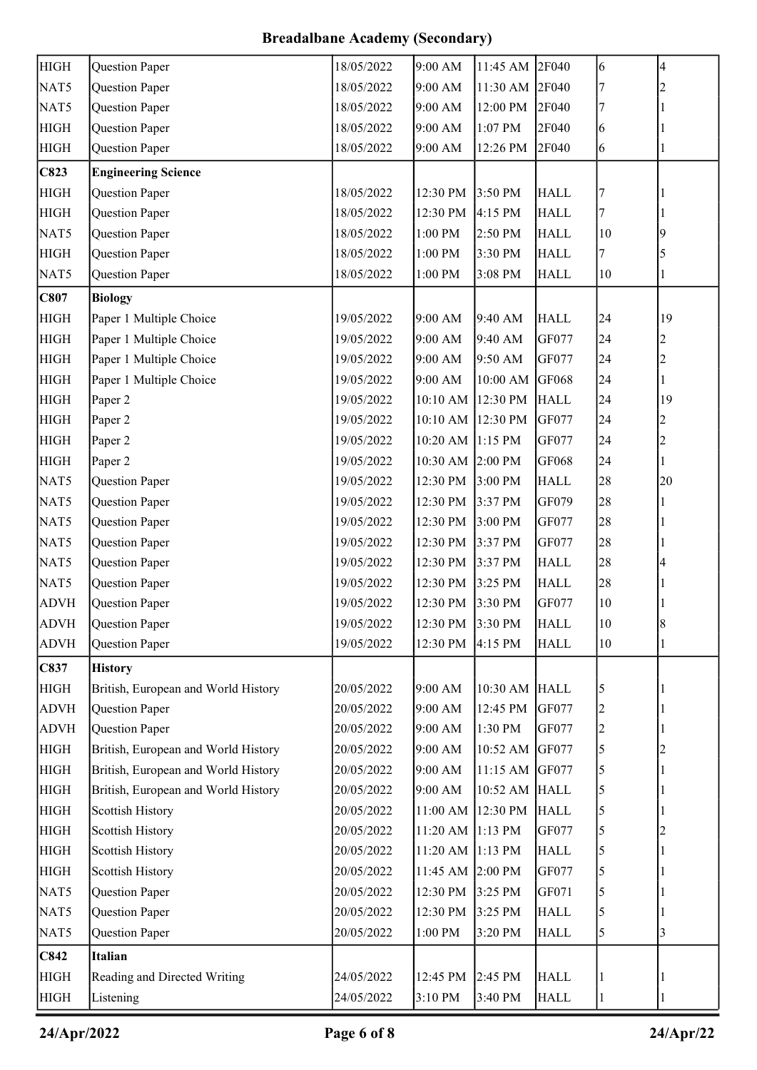| <b>HIGH</b> | Question Paper                      | 18/05/2022 | 9:00 AM              | 11:45 AM       | 2F040       | 6                       | 4              |
|-------------|-------------------------------------|------------|----------------------|----------------|-------------|-------------------------|----------------|
| NAT5        | Question Paper                      | 18/05/2022 | 9:00 AM              | 11:30 AM 2F040 |             |                         | 2              |
| NAT5        | Question Paper                      | 18/05/2022 | 9:00 AM              | 12:00 PM       | 2F040       | 7                       |                |
| <b>HIGH</b> | Question Paper                      | 18/05/2022 | 9:00 AM              | 1:07 PM        | 2F040       | 6                       |                |
| <b>HIGH</b> | Question Paper                      | 18/05/2022 | 9:00 AM              | 12:26 PM       | 2F040       | 6                       |                |
| C823        | <b>Engineering Science</b>          |            |                      |                |             |                         |                |
| <b>HIGH</b> | Question Paper                      | 18/05/2022 | 12:30 PM             | 3:50 PM        | <b>HALL</b> | 7                       |                |
| <b>HIGH</b> | Question Paper                      | 18/05/2022 | 12:30 PM             | 4:15 PM        | <b>HALL</b> | 7                       |                |
| NAT5        | Question Paper                      | 18/05/2022 | 1:00 PM              | 2:50 PM        | <b>HALL</b> | 10                      | 9              |
| <b>HIGH</b> | Question Paper                      | 18/05/2022 | 1:00 PM              | 3:30 PM        | <b>HALL</b> | 7                       | 5              |
| NAT5        | Question Paper                      | 18/05/2022 | 1:00 PM              | 3:08 PM        | <b>HALL</b> | 10                      |                |
| C807        | <b>Biology</b>                      |            |                      |                |             |                         |                |
| <b>HIGH</b> | Paper 1 Multiple Choice             | 19/05/2022 | 9:00 AM              | 9:40 AM        | <b>HALL</b> | 24                      | 19             |
| <b>HIGH</b> | Paper 1 Multiple Choice             | 19/05/2022 | 9:00 AM              | 9:40 AM        | GF077       | 24                      | 2              |
| <b>HIGH</b> | Paper 1 Multiple Choice             | 19/05/2022 | 9:00 AM              | 9:50 AM        | GF077       | 24                      | 2              |
| <b>HIGH</b> | Paper 1 Multiple Choice             | 19/05/2022 | 9:00 AM              | 10:00 AM GF068 |             | 24                      |                |
| <b>HIGH</b> | Paper 2                             | 19/05/2022 | 10:10 AM 12:30 PM    |                | <b>HALL</b> | 24                      | 19             |
| <b>HIGH</b> | Paper 2                             | 19/05/2022 | 10:10 AM 12:30 PM    |                | GF077       | 24                      |                |
| <b>HIGH</b> | Paper 2                             | 19/05/2022 | 10:20 AM 1:15 PM     |                | GF077       | 24                      | $\overline{c}$ |
| <b>HIGH</b> | Paper 2                             | 19/05/2022 | 10:30 AM 2:00 PM     |                | GF068       | 24                      |                |
| NAT5        | Question Paper                      | 19/05/2022 | 12:30 PM             | 3:00 PM        | <b>HALL</b> | 28                      | 20             |
| NAT5        | Question Paper                      | 19/05/2022 | 12:30 PM             | 3:37 PM        | GF079       | 28                      |                |
| NAT5        | Question Paper                      | 19/05/2022 | 12:30 PM             | 3:00 PM        | GF077       | 28                      |                |
| NAT5        | Question Paper                      | 19/05/2022 | 12:30 PM             | 3:37 PM        | GF077       | 28                      |                |
| NAT5        | Question Paper                      | 19/05/2022 | 12:30 PM             | 3:37 PM        | <b>HALL</b> | 28                      |                |
| NAT5        | Question Paper                      | 19/05/2022 | 12:30 PM             | 3:25 PM        | <b>HALL</b> | 28                      |                |
| <b>ADVH</b> | Question Paper                      | 19/05/2022 | 12:30 PM 3:30 PM     |                | GF077       | $10\,$                  |                |
| <b>ADVH</b> | Question Paper                      | 19/05/2022 | 12:30 PM 3:30 PM     |                | <b>HALL</b> | 10                      | 8              |
| <b>ADVH</b> | <b>Question Paper</b>               | 19/05/2022 | 12:30 PM             | 4:15 PM        | <b>HALL</b> | 10                      |                |
| C837        | <b>History</b>                      |            |                      |                |             |                         |                |
| <b>HIGH</b> | British, European and World History | 20/05/2022 | 9:00 AM              | 10:30 AM HALL  |             | 5                       |                |
| <b>ADVH</b> | Question Paper                      | 20/05/2022 | 9:00 AM              | 12:45 PM       | GF077       | $\overline{c}$          |                |
| <b>ADVH</b> | Question Paper                      | 20/05/2022 | 9:00 AM              | 1:30 PM        | GF077       | $\overline{\mathbf{c}}$ |                |
| <b>HIGH</b> | British, European and World History | 20/05/2022 | 9:00 AM              | 10:52 AM GF077 |             | 5                       |                |
| <b>HIGH</b> | British, European and World History | 20/05/2022 | 9:00 AM              | 11:15 AM       | GF077       | 5                       |                |
| <b>HIGH</b> | British, European and World History | 20/05/2022 | 9:00 AM              | 10:52 AM HALL  |             | 5                       |                |
| <b>HIGH</b> | <b>Scottish History</b>             | 20/05/2022 | 11:00 AM 12:30 PM    |                | <b>HALL</b> | 5                       |                |
| <b>HIGH</b> | <b>Scottish History</b>             | 20/05/2022 | 11:20 AM 1:13 PM     |                | GF077       | 5                       |                |
| <b>HIGH</b> | <b>Scottish History</b>             | 20/05/2022 | 11:20 AM 1:13 PM     |                | <b>HALL</b> | 5                       |                |
| <b>HIGH</b> | <b>Scottish History</b>             | 20/05/2022 | 11:45 AM 2:00 PM     |                | GF077       | 5                       |                |
| NAT5        | Question Paper                      | 20/05/2022 | 12:30 PM             | 3:25 PM        | GF071       | 5                       |                |
| NAT5        | Question Paper                      | 20/05/2022 | 12:30 PM             | 3:25 PM        | <b>HALL</b> | 5                       |                |
| NAT5        | Question Paper                      | 20/05/2022 | $1:00$ $\mathrm{PM}$ | 3:20 PM        | <b>HALL</b> | 5                       | 3              |
| C842        | <b>Italian</b>                      |            |                      |                |             |                         |                |
| <b>HIGH</b> | Reading and Directed Writing        | 24/05/2022 | 12:45 PM             | 2:45 PM        | <b>HALL</b> |                         |                |
| <b>HIGH</b> | Listening                           | 24/05/2022 | 3:10 PM              | 3:40 PM        | <b>HALL</b> | 1                       |                |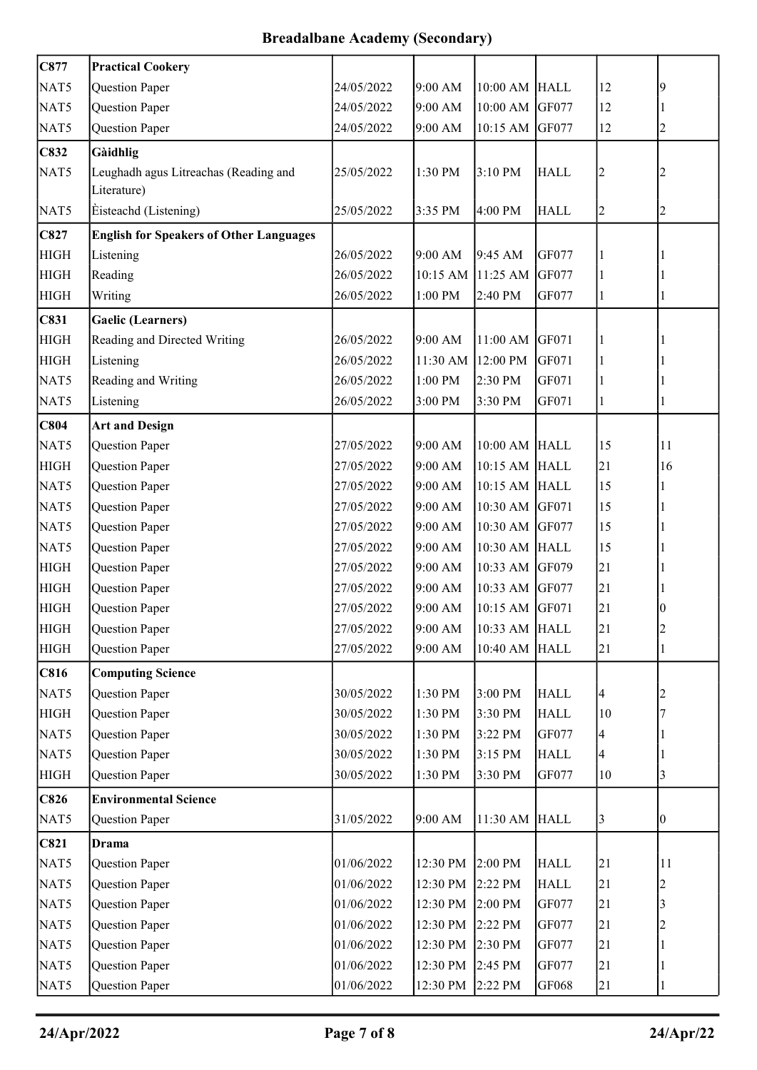| C877        | <b>Practical Cookery</b>                             |            |          |                |             |                |                |
|-------------|------------------------------------------------------|------------|----------|----------------|-------------|----------------|----------------|
| NAT5        | Question Paper                                       | 24/05/2022 | 9:00 AM  | 10:00 AM       | <b>HALL</b> | 12             | 9              |
| NAT5        | Question Paper                                       | 24/05/2022 | 9:00 AM  | 10:00 AM       | GF077       | 12             |                |
| NAT5        | Question Paper                                       | 24/05/2022 | 9:00 AM  | 10:15 AM       | GF077       | 12             | $\overline{c}$ |
| C832        | Gàidhlig                                             |            |          |                |             |                |                |
| NAT5        | Leughadh agus Litreachas (Reading and<br>Literature) | 25/05/2022 | 1:30 PM  | 3:10 PM        | <b>HALL</b> | $\overline{2}$ |                |
| NAT5        | Èisteachd (Listening)                                | 25/05/2022 | 3:35 PM  | 4:00 PM        | <b>HALL</b> | $\overline{c}$ | $\overline{c}$ |
| C827        | <b>English for Speakers of Other Languages</b>       |            |          |                |             |                |                |
| <b>HIGH</b> | Listening                                            | 26/05/2022 | 9:00 AM  | 9:45 AM        | GF077       |                |                |
| <b>HIGH</b> | Reading                                              | 26/05/2022 | 10:15 AM | 11:25 AM       | GF077       |                |                |
| <b>HIGH</b> | Writing                                              | 26/05/2022 | 1:00 PM  | 2:40 PM        | GF077       |                |                |
| C831        | <b>Gaelic (Learners)</b>                             |            |          |                |             |                |                |
| <b>HIGH</b> | Reading and Directed Writing                         | 26/05/2022 | 9:00 AM  | 11:00 AM       | GF071       |                |                |
| <b>HIGH</b> | Listening                                            | 26/05/2022 | 11:30 AM | 12:00 PM       | GF071       |                |                |
| NAT5        | Reading and Writing                                  | 26/05/2022 | 1:00 PM  | 2:30 PM        | GF071       | 1              |                |
| NAT5        | Listening                                            | 26/05/2022 | 3:00 PM  | 3:30 PM        | GF071       | 1              |                |
| C804        | <b>Art and Design</b>                                |            |          |                |             |                |                |
| NAT5        | Question Paper                                       | 27/05/2022 | 9:00 AM  | 10:00 AM HALL  |             | 15             | 11             |
| <b>HIGH</b> | Question Paper                                       | 27/05/2022 | 9:00 AM  | 10:15 AM       | <b>HALL</b> | 21             | 16             |
| NAT5        | Question Paper                                       | 27/05/2022 | 9:00 AM  | 10:15 AM HALL  |             | 15             |                |
| NAT5        | Question Paper                                       | 27/05/2022 | 9:00 AM  | 10:30 AM GF071 |             | 15             |                |
| NAT5        | Question Paper                                       | 27/05/2022 | 9:00 AM  | 10:30 AM       | GF077       | 15             |                |
| NAT5        | Question Paper                                       | 27/05/2022 | 9:00 AM  | 10:30 AM HALL  |             | 15             |                |
| <b>HIGH</b> | Question Paper                                       | 27/05/2022 | 9:00 AM  | 10:33 AM GF079 |             | 21             |                |
| <b>HIGH</b> | Question Paper                                       | 27/05/2022 | 9:00 AM  | 10:33 AM       | GF077       | 21             |                |
| <b>HIGH</b> | Question Paper                                       | 27/05/2022 | 9:00 AM  | 10:15 AM GF071 |             | 21             | 0              |
| <b>HIGH</b> | Question Paper                                       | 27/05/2022 | 9:00 AM  | 10:33 AM HALL  |             | 21             | $\overline{c}$ |
| <b>HIGH</b> | Question Paper                                       | 27/05/2022 | 9:00 AM  | 10:40 AM       | <b>HALL</b> | 21             |                |
| <b>C816</b> | <b>Computing Science</b>                             |            |          |                |             |                |                |
| NAT5        | Question Paper                                       | 30/05/2022 | 1:30 PM  | 3:00 PM        | <b>HALL</b> | 4              |                |
| <b>HIGH</b> | Question Paper                                       | 30/05/2022 | 1:30 PM  | 3:30 PM        | <b>HALL</b> | 10             |                |
| NAT5        | Question Paper                                       | 30/05/2022 | 1:30 PM  | 3:22 PM        | GF077       | 4              |                |
| NAT5        | Question Paper                                       | 30/05/2022 | 1:30 PM  | 3:15 PM        | <b>HALL</b> | 4              |                |
| <b>HIGH</b> | Question Paper                                       | 30/05/2022 | 1:30 PM  | 3:30 PM        | GF077       | 10             | 3              |
| <b>C826</b> | <b>Environmental Science</b>                         |            |          |                |             |                |                |
| NAT5        | Question Paper                                       | 31/05/2022 | 9:00 AM  | 11:30 AM       | <b>HALL</b> | $\mathbf{3}$   | 0              |
| <b>C821</b> | <b>Drama</b>                                         |            |          |                |             |                |                |
| NAT5        | Question Paper                                       | 01/06/2022 | 12:30 PM | 2:00 PM        | <b>HALL</b> | 21             | 11             |
| NAT5        | Question Paper                                       | 01/06/2022 | 12:30 PM | 2:22 PM        | <b>HALL</b> | 21             |                |
| NAT5        | Question Paper                                       | 01/06/2022 | 12:30 PM | 2:00 PM        | GF077       | 21             |                |
| NAT5        | Question Paper                                       | 01/06/2022 | 12:30 PM | 2:22 PM        | GF077       | 21             |                |
| NAT5        | Question Paper                                       | 01/06/2022 | 12:30 PM | 2:30 PM        | GF077       | 21             |                |
| NAT5        | Question Paper                                       | 01/06/2022 | 12:30 PM | 2:45 PM        | GF077       | 21             |                |
| NAT5        | Question Paper                                       | 01/06/2022 | 12:30 PM | 2:22 PM        | GF068       | 21             |                |